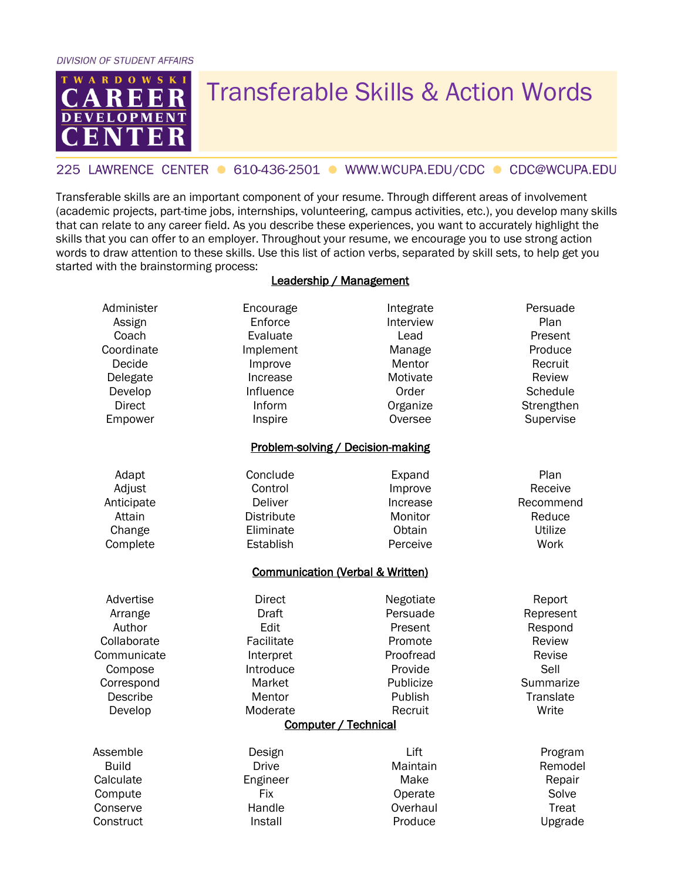**DIVISION OF STUDENT AFFAIRS** 



## Transferable Skills & Action Words

## 225 LAWRENCE CENTER ● 610-436-2501 ● WWW.WCUPA.EDU/CDC ● CDC@WCUPA.EDU

Transferable skills are an important component of your resume. Through different areas of involvement (academic projects, part-time jobs, internships, volunteering, campus activities, etc.), you develop many skills that can relate to any career field. As you describe these experiences, you want to accurately highlight the skills that you can offer to an employer. Throughout your resume, we encourage you to use strong action words to draw attention to these skills. Use this list of action verbs, separated by skill sets, to help get you started with the brainstorming process:

## Leadership / Management

| Administer    | Encourage                   | Integrate                         | Persuade      |
|---------------|-----------------------------|-----------------------------------|---------------|
| Assign        | Enforce                     | Interview                         | Plan          |
| Coach         | Evaluate                    | Lead                              | Present       |
| Coordinate    | Implement                   | Manage                            | Produce       |
| Decide        | Improve                     | Mentor                            | Recruit       |
| Delegate      | Increase                    | Motivate                          | Review        |
| Develop       | Influence                   | Order                             | Schedule      |
| <b>Direct</b> | Inform                      | Organize                          | Strengthen    |
| Empower       | Inspire                     | Oversee                           | Supervise     |
|               |                             | Problem-solving / Decision-making |               |
| Adapt         | Conclude                    | Expand                            | Plan          |
| Adjust        | Control                     | Improve                           | Receive       |
| Anticipate    | <b>Deliver</b>              | Increase                          | Recommend     |
| Attain        | <b>Distribute</b>           | Monitor                           | Reduce        |
| Change        | Eliminate                   | Obtain                            | Utilize       |
| Complete      | Establish                   | Perceive                          | Work          |
|               |                             | Communication (Verbal & Written)  |               |
| Advertise     | <b>Direct</b>               | Negotiate                         | Report        |
| Arrange       | <b>Draft</b>                | Persuade                          | Represent     |
| Author        | Edit                        | Present                           | Respond       |
| Collaborate   | Facilitate                  | Promote                           | <b>Review</b> |
| Communicate   | Interpret                   | Proofread                         | Revise        |
| Compose       | Introduce                   | Provide                           | Sell          |
| Correspond    | Market                      | Publicize                         | Summarize     |
| Describe      | Mentor                      | Publish                           | Translate     |
| Develop       | Moderate                    | Recruit                           | Write         |
|               | <b>Computer / Technical</b> |                                   |               |
| Assemble      | Design                      | Lift                              | Program       |
| <b>Build</b>  | <b>Drive</b>                | Maintain                          | Remodel       |
| Calculate     | Engineer                    | Make                              | Repair        |
| Compute       | Fix                         | Operate                           | Solve         |
| Conserve      | Handle                      | Overhaul                          | Treat         |
| Construct     | Install                     | Produce                           | Upgrade       |